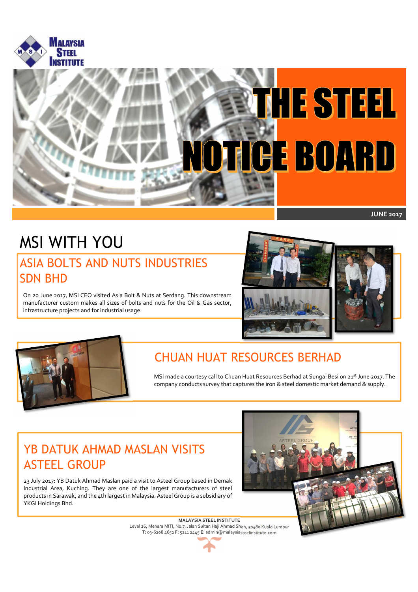



# MSI WITH YOU

### ASIA BOLTS AND NUTS INDUSTRIES SDN BHD

On 20 June 2017, MSI CEO visited Asia Bolt & Nuts at Serdang. This downstream manufacturer custom makes all sizes of bolts and nuts for the Oil & Gas sector, infrastructure projects and for industrial usage.





### CHUAN HUAT RESOURCES BERHAD

**MALAYSIA STEEL INSTITUTE** 

. company conducts survey that captures the iron & steel domestic market demand & supply. MSI made a courtesy call to Chuan Huat Resources Berhad at Sungai Besi on 21<sup>st</sup> June 2017. The

### YB DATUK AHMAD MASLAN VISITS ASTEEL GROUP

23 July 2017: YB Datuk Ahmad Maslan paid a visit to Asteel Group based in Demak Industrial Area, Kuching. They are one of the largest manufacturers of steel products in Sarawak, and the 4th largest in Malaysia. Asteel Group is a subsidiary of YKGI Holdings Bhd.

l,

Level 26, Menara MITI, No.7, Jalan Sultan Haji Ahmad Shah, 50480 Kuala Lumpur **T:** 03-6208 4652 **F:** 5211 2445 **E:** admin@malaysiasteelinstitute.com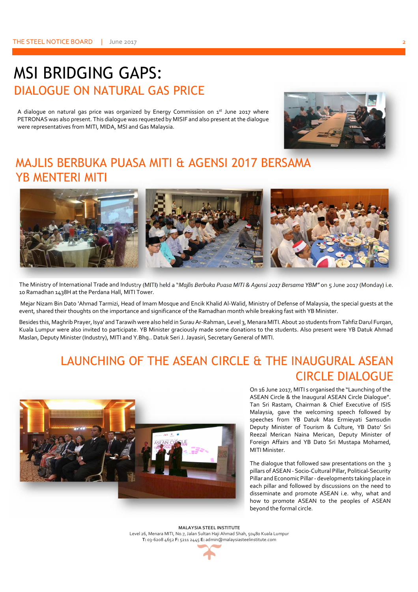## MSI BRIDGING GAPS: DIALOGUE ON NATURAL GAS PRICE

A dialogue on natural gas price was organized by Energy Commission on  $1^{st}$  June 2017 where PETRONAS was also present. This dialogue was requested by MISIF and also present at the dialogue were representatives from MITI, MIDA, MSI and Gas Malaysia.



### MAJLIS BERBUKA PUASA MITI & AGENSI 2017 BERSAMA YB MENTERI MITI



The Ministry of International Trade and Industry (MITI) held a "*Majlis Berbuka Puasa MITI & Agensi 2017 Bersama YBM"* on 5 June 2017 (Monday) i.e. 10 Ramadhan 1438H at the Perdana Hall, MITI Tower.

 Mejar Nizam Bin Dato 'Ahmad Tarmizi, Head of Imam Mosque and Encik Khalid Al-Walid, Ministry of Defense of Malaysia, the special guests at the event, shared their thoughts on the importance and significance of the Ramadhan month while breaking fast with YB Minister.

Besides this, Maghrib Prayer, Isya' and Tarawih were also held in Surau Ar-Rahman, Level 3, Menara MITI. About 20 students from Tahfiz Darul Furqan, Kuala Lumpur were also invited to participate. YB Minister graciously made some donations to the students. Also present were YB Datuk Ahmad Maslan, Deputy Minister (Industry), MITI and Y.Bhg.. Datuk Seri J. Jayasiri, Secretary General of MITI.

### LAUNCHING OF THE ASEAN CIRCLE & THE INAUGURAL ASEAN CIRCLE DIALOGUE



On 16 June 2017, MITI s organised the "Launching of the ASEAN Circle & the Inaugural ASEAN Circle Dialogue". Tan Sri Rastam, Chairman & Chief Executive of ISIS Malaysia, gave the welcoming speech followed by speeches from YB Datuk Mas Ermieyati Samsudin Deputy Minister of Tourism & Culture, YB Dato' Sri Reezal Merican Naina Merican, Deputy Minister of Foreign Affairs and YB Dato Sri Mustapa Mohamed, MITI Minister.

The dialogue that followed saw presentations on the 3 pillars of ASEAN - Socio-Cultural Pillar, Political-Security Pillar and Economic Pillar - developments taking place in each pillar and followed by discussions on the need to disseminate and promote ASEAN i.e. why, what and how to promote ASEAN to the peoples of ASEAN beyond the formal circle.

**MALAYSIA STEEL INSTITUTE** 

Level 26, Menara MITI, No.7, Jalan Sultan Haji Ahmad Shah, 50480 Kuala Lumpur **T:** 03-6208 4652 **F:** 5211 2445 **E:** admin@malaysiasteelinstitute.com